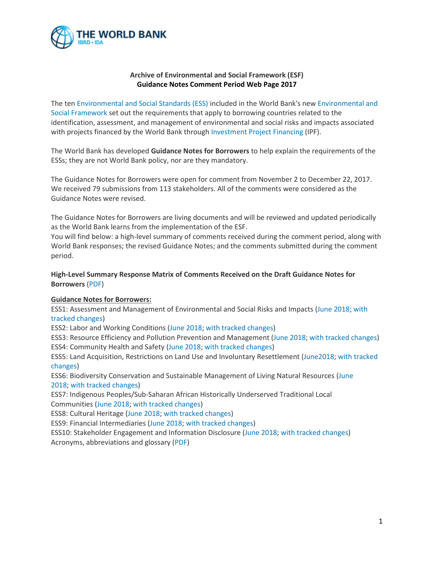

## **Archive of Environmental and Social Framework (ESF) Guidance Notes Comment Period Web Page 2017**

The ten [Environmental and Social Standards \(ESS\)](http://pubdocs.worldbank.org/en/837721522762050108/Environmental-and-Social-Framework.pdf#zoom=75) included in the World Bank's new [Environmental and](http://www.worldbank.org/esf)  [Social Framework](http://www.worldbank.org/esf) set out the requirements that apply to borrowing countries related to the identification, assessment, and management of environmental and social risks and impacts associated with projects financed by the World Bank through [Investment Project Financing](http://www.worldbank.org/en/projects-operations/products-and-services#IPF) (IPF).

The World Bank has developed **Guidance Notes for Borrowers** to help explain the requirements of the ESSs; they are not World Bank policy, nor are they mandatory.

The Guidance Notes for Borrowers were open for comment from November 2 to December 22, 2017. We received 79 submissions from 113 stakeholders. All of the comments were considered as the Guidance Notes were revised.

The Guidance Notes for Borrowers are living documents and will be reviewed and updated periodically as the World Bank learns from the implementation of the ESF.

You will find below: a high-level summary of comments received during the comment period, along with World Bank responses; the revised Guidance Notes; and the comments submitted during the comment period.

**High-Level Summary Response Matrix of Comments Received on the Draft Guidance Notes for Borrowers** [\(PDF\)](http://pubdocs.worldbank.org/en/943801530214217223/ESF-Borrower-Guidance-Notes-summary-comment-and-response-matrix-June-2018.pdf)

## **Guidance Notes for Borrowers:**

ESS1: Assessment and Management of Environmental and Social Risks and Impacts [\(June 2018;](http://pubdocs.worldbank.org/en/142691530216729197/ESF-GN1-June-2018.pdf) [with](http://pubdocs.worldbank.org/en/751541530224071412/ESF-GN-ESS1-June-2018-tracked-changes.pdf)  [tracked changes\)](http://pubdocs.worldbank.org/en/751541530224071412/ESF-GN-ESS1-June-2018-tracked-changes.pdf)

ESS2: Labor and Working Conditions [\(June 2018;](http://pubdocs.worldbank.org/en/149761530216793411/ESF-GN2-June-2018.pdf) with [tracked changes\)](http://pubdocs.worldbank.org/en/537951530224112032/ESF-GN-ESS2-June-2018-tracked-changes.pdf)

ESS3: Resource Efficiency and Pollution Prevention and Management [\(June 2018;](http://pubdocs.worldbank.org/en/112401530216856982/ESF-GN3-June-2018.pdf) [with tracked changes\)](http://pubdocs.worldbank.org/en/616281530224155706/ESF-GN-ESS3-June-2018-tracked-changes.pdf) ESS4: Community Health and Safety [\(June 2018;](http://pubdocs.worldbank.org/en/290471530216994899/ESF-GN4-June-2018.pdf) [with tracked changes\)](http://pubdocs.worldbank.org/en/885241530224214833/ESF-GN-ESS4-June-2018-tracked-changes.pdf)

ESS5: Land Acquisition, Restrictions on Land Use and Involuntary Resettlement [\(June2018;](http://pubdocs.worldbank.org/en/294331530217033360/ESF-GN5-June-2018.pdf) [with tracked](http://pubdocs.worldbank.org/en/287451530224256921/ESF-GN-ESS5-June-2018-tracked-changes.pdf)  [changes\)](http://pubdocs.worldbank.org/en/287451530224256921/ESF-GN-ESS5-June-2018-tracked-changes.pdf)

ESS6: Biodiversity Conservation and Sustainable Management of Living Natural Resources [\(June](http://pubdocs.worldbank.org/en/924371530217086973/ESF-GN6-June-2018.pdf)  [2018;](http://pubdocs.worldbank.org/en/924371530217086973/ESF-GN6-June-2018.pdf) [with tracked changes\)](http://pubdocs.worldbank.org/en/496481530224325454/ESF-GN-ESS6-June-2018-tracked-changes.pdf)

ESS7: Indigenous Peoples/Sub-Saharan African Historically Underserved Traditional Local Communities [\(June 2018;](http://pubdocs.worldbank.org/en/972151530217132480/ESF-GN7-June-2018.pdf) [with tracked changes\)](http://pubdocs.worldbank.org/en/263811530224370253/ESF-GN-ESS7-June-2018-tracked-changes.pdf)

ESS8: Cultural Heritage [\(June 2018;](http://pubdocs.worldbank.org/en/743151530217186766/ESF-GN8-June-2018.pdf) [with tracked changes\)](http://pubdocs.worldbank.org/en/509781530224423329/ESF-GN-ESS8-June-2018-tracked-changes.pdf)

ESS9: Financial Intermediaries [\(June 2018;](http://pubdocs.worldbank.org/en/484961530217326585/ESF-GN9-June-2018.pdf) [with tracked changes\)](http://pubdocs.worldbank.org/en/534541530224478714/ESF-GN-ESS9-June-2018-tracked-changes.pdf)

ESS10: Stakeholder Engagement and Information Disclosure [\(June 2018;](http://pubdocs.worldbank.org/en/476161530217390609/ESF-GN10-June-2018.pdf) [with tracked changes\)](http://pubdocs.worldbank.org/en/968291530224517618/ESF-GN-ESS10-June-2018-tracked-changes.pdf) Acronyms, abbreviations and glossary [\(PDF\)](http://pubdocs.worldbank.org/en/231081530284053156/ESFGuidanceNotesForBorrowersAcronymsAbbreviationsGlossary2018.pdf)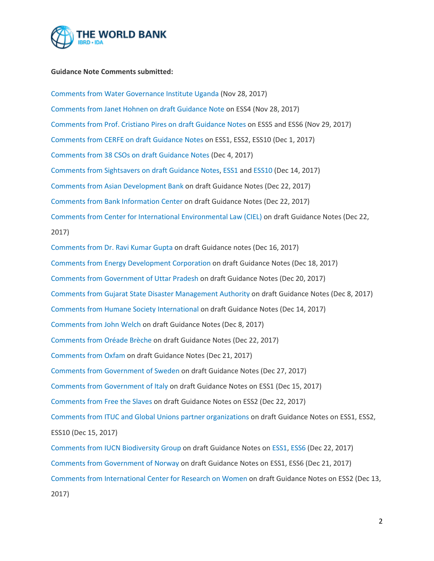

## **Guidance Note Comments submitted:**

[Comments from Water Governance Institute Uganda](http://pubdocs.worldbank.org/en/976151513008903724/DraftESFGuidanceNotesforBorrowersCommentsbyWaterGovernanceInstituteNov282017.pdf) (Nov 28, 2017) [Comments from Janet Hohnen on draft Guidance Note](http://pubdocs.worldbank.org/en/424961513008899109/DraftESFGuidanceNotesforBorrowersCommentsbyJanetHohnenNov282017.pdf) on ESS4 (Nov 28, 2017) [Comments from Prof. Cristiano Pires on draft Guidance Notes](http://pubdocs.worldbank.org/en/156451513008893903/DraftESFGuidanceNotesforBorrowersCommentsbyCristianoPiresNov292017.pdf) on ESS5 and ESS6 (Nov 29, 2017) [Comments from CERFE on draft Guidance Notes](http://pubdocs.worldbank.org/en/824221513008905158/DraftESFGuidanceNotesforBorrowersCommentsfromCERFEDec12017.pdf) on ESS1, ESS2, ESS10 (Dec 1, 2017) [Comments from 38 CSOs on draft Guidance Notes](https://www.hrw.org/news/2017/12/04/letter-world-bank-environmental-and-social-standards-guidance-notes) (Dec 4, 2017) [Comments from Sightsavers on draft Guidance Notes,](http://pubdocs.worldbank.org/en/638321515444140301/ESFGuidanceNoteCommentsonESS1ESS10bySightsavers.docx) [ESS1](http://pubdocs.worldbank.org/en/337781515444139130/ESFGuidanceNoteCommentsonESS1bySightsavers.docx) and [ESS10](http://pubdocs.worldbank.org/en/957061515444131581/ESFGuidanceNoteCommentsonESS10bySightsavers.docx) (Dec 14, 2017) [Comments from Asian Development Bank](http://pubdocs.worldbank.org/en/508191515447516716/ESFGuidanceNoteCommentsbyADBDec222017.docx) on draft Guidance Notes (Dec 22, 2017) [Comments from Bank Information Center](http://pubdocs.worldbank.org/en/423691515447117109/ESFGuidanceNoteCommentsbyBICDec222017.pdf) on draft Guidance Notes (Dec 22, 2017) [Comments from Center for International Environmental Law \(CIEL\)](http://pubdocs.worldbank.org/en/107621515447121048/ESFGuidanceNoteCommentsbyCIELDec202017.pdf) on draft Guidance Notes (Dec 22, 2017) [Comments from Dr. Ravi Kumar Gupta](http://pubdocs.worldbank.org/en/767611515447937154/ESFGuidanceNoteCommentsbyDrRaviKumarGuptaDec162017.docx) on draft Guidance notes (Dec 16, 2017) Comments [from Energy Development Corporation](http://pubdocs.worldbank.org/en/950471515447520828/ESFGuidanceNoteCommentsbyEnergyDevelopmentCorporationDec182017.pdf) on draft Guidance Notes (Dec 18, 2017) [Comments from Government of Uttar Pradesh](http://pubdocs.worldbank.org/en/503331515533185319/Draft-ESF-Guidance-notes-comments-GovtofUttarPradesh.pdf) on draft Guidance Notes (Dec 20, 2017) [Comments from Gujarat State Disaster Management Authority](http://pubdocs.worldbank.org/en/812681515447938488/ESFGuidanceNoteCommentsbyGujaratStateDisasterManagementAuthorityDec82017.docx) on draft Guidance Notes (Dec 8, 2017) [Comments from Humane Society International](http://pubdocs.worldbank.org/en/961071515525092438/ESFGuidanceNoteCommentsbyHumaneSocietyInternationalDec142017.pdf) on draft Guidance Notes (Dec 14, 2017) [Comments from John Welch](http://pubdocs.worldbank.org/en/641471515447939701/ESFGuidanceNoteCommentsbyJohnWelchDec82017.pdf) on draft Guidance Notes (Dec 8, 2017) [Comments from Oréade Brèche](http://pubdocs.worldbank.org/en/300691515447940956/ESFGuidanceNoteCommentsbyOr%C3%A9adeBr%C3%A8cheDec222017.pdf) on draft Guidance Notes (Dec 22, 2017) [Comments from Oxfam](http://pubdocs.worldbank.org/en/412901515533419775/Draft-ESF-Guidance-notes-comments-OXFAM.pdf) on draft Guidance Notes (Dec 21, 2017) [Comments from Government of Sweden](http://pubdocs.worldbank.org/en/278201515447522180/ESFGuidanceNoteCommentsbySwedenDec272017.pdf) on draft Guidance Notes (Dec 27, 2017) [Comments from Government of Italy](http://pubdocs.worldbank.org/en/576601515447524615/ESFGuidanceNoteCommentsonESS1byItalyDec152017.pdf) on draft Guidance Notes on ESS1 (Dec 15, 2017) [Comments from Free the Slaves](http://pubdocs.worldbank.org/en/499541515447123712/ESFGuidanceNoteCommentsonESS1ESS2byFreetheSlavesDec222017.pdf) on draft Guidance Notes on ESS2 (Dec 22, 2017) [Comments from ITUC and Global Unions partner organizations](http://pubdocs.worldbank.org/en/338031515447125004/ESFGuidanceNoteCommentsonESS1ESS2ESS10byITUCandGlobalUnionspartnerorganizationsDec152017.pdf) on draft Guidance Notes on ESS1, ESS2, ESS10 (Dec 15, 2017) [Comments from IUCN Biodiversity Group](http://pubdocs.worldbank.org/en/429461515522112627/ESFGuidanceNoteCommentsonESS1ESS6byIUCNBiodiversityGroupDec222017.pdf) on draft Guidance Notes on [ESS1,](http://pubdocs.worldbank.org/en/145581515522111001/ESFGuidanceNoteCommentsonESS1byIUCNBiodiversityGroupDec222017.pdf) [ESS6](http://pubdocs.worldbank.org/en/238111515522113940/ESFGuidanceNoteCommentsonESS6byIUCNBiodiversityGroupDec222017.pdf) (Dec 22, 2017) [Comments from Government of Norway](http://pubdocs.worldbank.org/en/514331515447525903/ESFGuidanceNoteCommentsonESS1ESS6byNorwayDec212017.pdf) on draft Guidance Notes on ESS1, ESS6 (Dec 21, 2017) [Comments from International Center for Research on Women](http://pubdocs.worldbank.org/en/773921515446347601/ESFGuidanceNoteCommentsonESS2byInternationalCenterforResearchonWomenDec1.docx) on draft Guidance Notes on ESS2 (Dec 13, 2017)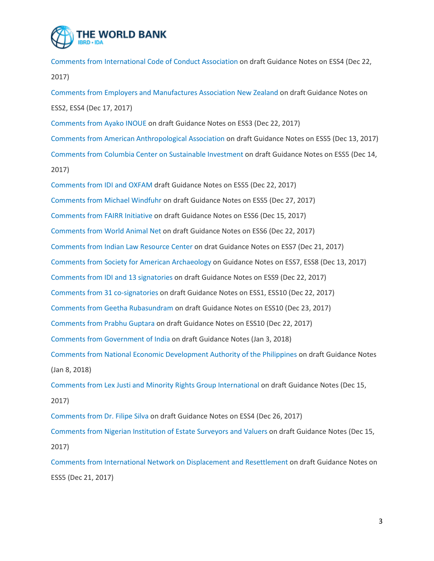

[Comments from International Code of Conduct Association](http://pubdocs.worldbank.org/en/188651515447127550/ESFGuidanceNoteCommentsonESS4byInternationalCodeofConductAssociationDec222017.pdf) on draft Guidance Notes on ESS4 (Dec 22, 2017)

[Comments from Employers and Manufactures Association New Zealand](http://pubdocs.worldbank.org/en/322781515447126289/ESFGuidanceNoteCommentsonESS2ESS4byEmployersandManufacturesAssociationNewZealandDec172017.pdf) on draft Guidance Notes on ESS2, ESS4 (Dec 17, 2017)

[Comments from Ayako INOUE](http://pubdocs.worldbank.org/en/545081515447527125/ESFGuidanceNoteCommentsonESS3byAyakoINOUE.pdf) on draft Guidance Notes on ESS3 (Dec 22, 2017)

[Comments from American Anthropological Association](http://pubdocs.worldbank.org/en/730751515446350251/ESFGuidanceNoteCommentsonESS5byAmericanAnthropologicalAssociationDec1320.pdf) on draft Guidance Notes on ESS5 (Dec 13, 2017) [Comments from Columbia Center on Sustainable Investment](http://pubdocs.worldbank.org/en/271521515446351683/ESFGuidanceNoteCommentsonESS5byColumbia-CenteronSustainableInvestmentDec142017.pdf) on draft Guidance Notes on ESS5 (Dec 14, 2017)

[Comments from IDI and OXFAM](http://pubdocs.worldbank.org/en/508101515446352920/ESFGuidanceNoteCommentsonESS5byIDIandOXFAMDec222017.pdf) draft Guidance Notes on ESS5 (Dec 22, 2017) [Comments from Michael Windfuhr](http://pubdocs.worldbank.org/en/755501515446354281/ESFGuidanceNoteCommentsonESS5byMichaelWindfuhrDec272017.pdf) on draft Guidance Notes on ESS5 (Dec 27, 2017) [Comments from FAIRR Initiative](http://pubdocs.worldbank.org/en/877381515447942171/ESFGuidanceNoteCommentsonESS6byFAIRRInitiativeDec152017.docx) on draft Guidance Notes on ESS6 (Dec 15, 2017) [Comments from World Animal Net](http://pubdocs.worldbank.org/en/228051515447943387/ESFGuidanceNoteCommentsonESS6byWorldAnimalNetDec222017.docx) on draft Guidance Notes on ESS6 (Dec 22, 2017) [Comments from Indian Law Resource Center](http://pubdocs.worldbank.org/en/216601515447944613/ESFGuidanceNoteCommentsonESS7byIndianLawResourceCenterDec212017.pdf) on drat Guidance Notes on ESS7 (Dec 21, 2017) [Comments from Society for American Archaeology](http://pubdocs.worldbank.org/en/699221515446355487/ESFGuidanceNoteCommentsonESS7ESS8bySocietyforAmericanArchaeologyDec13201.pdf) on Guidance Notes on ESS7, ESS8 (Dec 13, 2017) [Comments from IDI and 13 signatories](http://pubdocs.worldbank.org/en/826541515620007272/ESFGuidanceNoteCommentsonESS9byIDIand13signatoriesDec2217.pdf) on draft Guidance Notes on ESS9 (Dec 22, 2017) [Comments from 31 co-signatories](http://pubdocs.worldbank.org/en/702911515447122435/ESFGuidanceNoteCommentsonESS1ESS10by31signatoriesDec2217.pdf) on draft Guidance Notes on ESS1, ESS10 (Dec 22, 2017) [Comments from Geetha Rubasundram](http://pubdocs.worldbank.org/en/446901515447523413/ESFGuidanceNoteCommentsonESS10byGeethaRubasundramDec232017.docx) on draft Guidance Notes on ESS10 (Dec 23, 2017) [Comments from Prabhu Guptara](http://pubdocs.worldbank.org/en/931811515513302878/Comments-from-Prabhu-Guptara.docx) on draft Guidance Notes on ESS10 (Dec 22, 2017) [Comments from Government of India](http://pubdocs.worldbank.org/en/819661515782228073/ESFGuidanceNoteCommentsbyIndiaJan32018.docx) on draft Guidance Notes (Jan 3, 2018) [Comments from National Economic Development Authority of the Philippines](http://pubdocs.worldbank.org/en/150621515782231354/ESFGuidanceNoteCommentsbyNationalEconomicDevelopmentAuthorityofthePhilip.pdf) on draft Guidance Notes (Jan 8, 2018) [Comments from Lex Justi and Minority Rights Group International](http://pubdocs.worldbank.org/en/260031515782230041/ESFGuidanceNoteCommentsbyLexJustiandMinorityRightsGroupInternationalDec1.docx) on draft Guidance Notes (Dec 15, 2017) [Comments from Dr. Filipe Silva](http://pubdocs.worldbank.org/en/782581515782232525/ESFGuidanceNoteCommentsonESS4byDrFilipeSilvaDec262017.docx) on draft Guidance Notes on ESS4 (Dec 26, 2017) [Comments from Nigerian Institution of Estate Surveyors and Valuers](http://pubdocs.worldbank.org/en/625231516218762017/ESFGuidanceNoteCommentsbyNigerianInstitutionofEstateSurveyorsvaluers.docx) on draft Guidance Notes (Dec 15, 2017)

[Comments from International Network on Displacement and Resettlement](http://pubdocs.worldbank.org/en/774301519766223881/ESFGuidanceNoteCommentsonESS5byIntNetworkDisplaceResettleDec2017.pdf) on draft Guidance Notes on ESS5 (Dec 21, 2017)